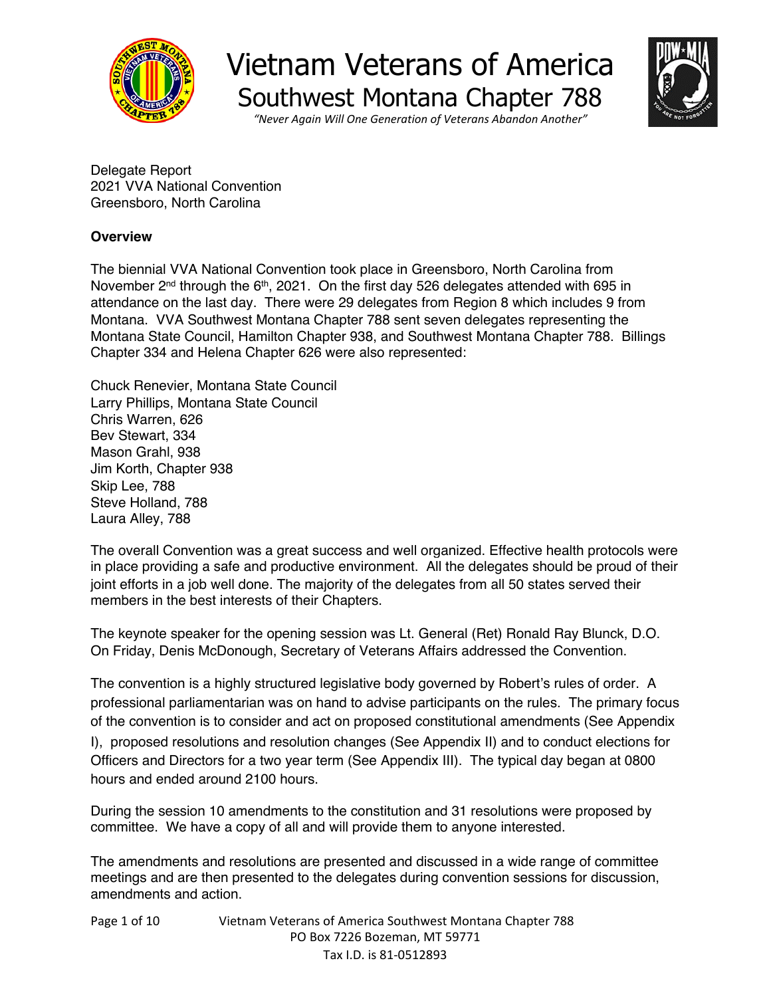



*"Never Again Will One Generation of Veterans Abandon Another"*

Delegate Report 2021 VVA National Convention Greensboro, North Carolina

#### **Overview**

The biennial VVA National Convention took place in Greensboro, North Carolina from November 2<sup>nd</sup> through the 6<sup>th</sup>, 2021. On the first day 526 delegates attended with 695 in attendance on the last day. There were 29 delegates from Region 8 which includes 9 from Montana. VVA Southwest Montana Chapter 788 sent seven delegates representing the Montana State Council, Hamilton Chapter 938, and Southwest Montana Chapter 788. Billings Chapter 334 and Helena Chapter 626 were also represented:

Chuck Renevier, Montana State Council Larry Phillips, Montana State Council Chris Warren, 626 Bev Stewart, 334 Mason Grahl, 938 Jim Korth, Chapter 938 Skip Lee, 788 Steve Holland, 788 Laura Alley, 788

The overall Convention was a great success and well organized. Effective health protocols were in place providing a safe and productive environment. All the delegates should be proud of their joint efforts in a job well done. The majority of the delegates from all 50 states served their members in the best interests of their Chapters.

The keynote speaker for the opening session was Lt. General (Ret) Ronald Ray Blunck, D.O. On Friday, Denis McDonough, Secretary of Veterans Affairs addressed the Convention.

The convention is a highly structured legislative body governed by Robert's rules of order. A professional parliamentarian was on hand to advise participants on the rules. The primary focus of the convention is to consider and act on proposed constitutional amendments (See Appendix I), proposed resolutions and resolution changes (See Appendix II) and to conduct elections for Officers and Directors for a two year term (See Appendix III). The typical day began at 0800 hours and ended around 2100 hours.

During the session 10 amendments to the constitution and 31 resolutions were proposed by committee. We have a copy of all and will provide them to anyone interested.

The amendments and resolutions are presented and discussed in a wide range of committee meetings and are then presented to the delegates during convention sessions for discussion, amendments and action.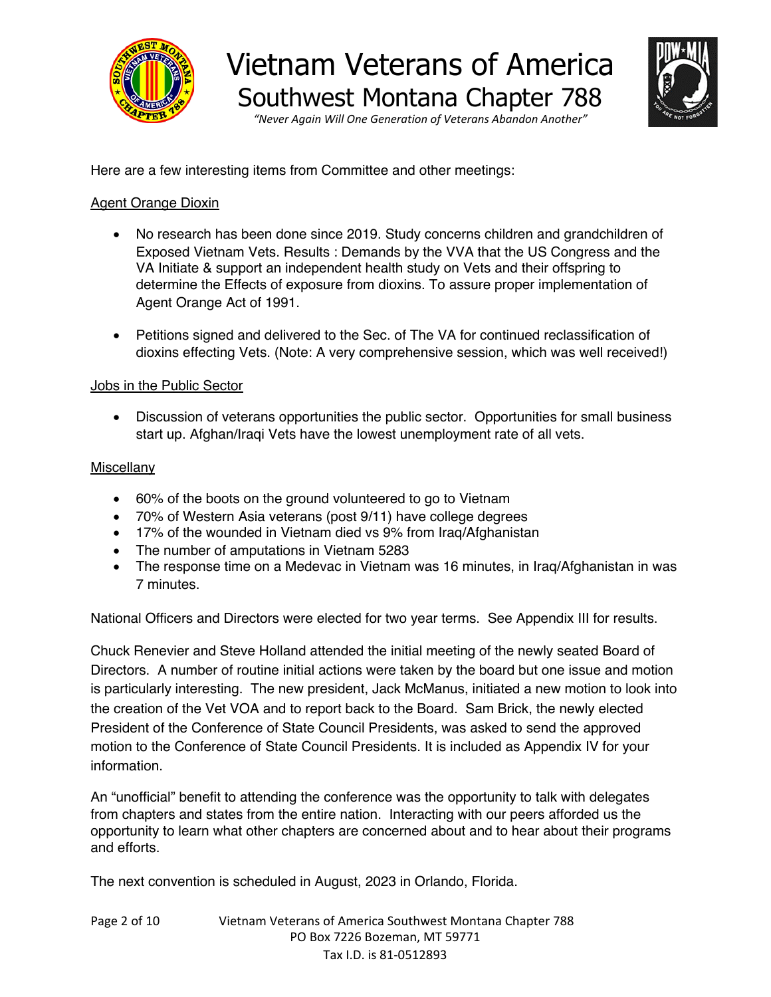

*"Never Again Will One Generation of Veterans Abandon Another"*

Here are a few interesting items from Committee and other meetings:

#### Agent Orange Dioxin

- No research has been done since 2019. Study concerns children and grandchildren of Exposed Vietnam Vets. Results : Demands by the VVA that the US Congress and the VA Initiate & support an independent health study on Vets and their offspring to determine the Effects of exposure from dioxins. To assure proper implementation of Agent Orange Act of 1991.
- Petitions signed and delivered to the Sec. of The VA for continued reclassification of dioxins effecting Vets. (Note: A very comprehensive session, which was well received!)

#### Jobs in the Public Sector

• Discussion of veterans opportunities the public sector. Opportunities for small business start up. Afghan/Iraqi Vets have the lowest unemployment rate of all vets.

#### **Miscellany**

- 60% of the boots on the ground volunteered to go to Vietnam
- 70% of Western Asia veterans (post 9/11) have college degrees
- 17% of the wounded in Vietnam died vs 9% from Iraq/Afghanistan
- The number of amputations in Vietnam 5283
- The response time on a Medevac in Vietnam was 16 minutes, in Iraq/Afghanistan in was 7 minutes.

National Officers and Directors were elected for two year terms. See Appendix III for results.

Chuck Renevier and Steve Holland attended the initial meeting of the newly seated Board of Directors. A number of routine initial actions were taken by the board but one issue and motion is particularly interesting. The new president, Jack McManus, initiated a new motion to look into the creation of the Vet VOA and to report back to the Board. Sam Brick, the newly elected President of the Conference of State Council Presidents, was asked to send the approved motion to the Conference of State Council Presidents. It is included as Appendix IV for your information.

An "unofficial" benefit to attending the conference was the opportunity to talk with delegates from chapters and states from the entire nation. Interacting with our peers afforded us the opportunity to learn what other chapters are concerned about and to hear about their programs and efforts.

The next convention is scheduled in August, 2023 in Orlando, Florida.

| Page 2 of 10 | Vietnam Veterans of America Southwest Montana Chapter 788 |
|--------------|-----------------------------------------------------------|
|              | PO Box 7226 Bozeman, MT 59771                             |
|              | Tax I.D. is 81-0512893                                    |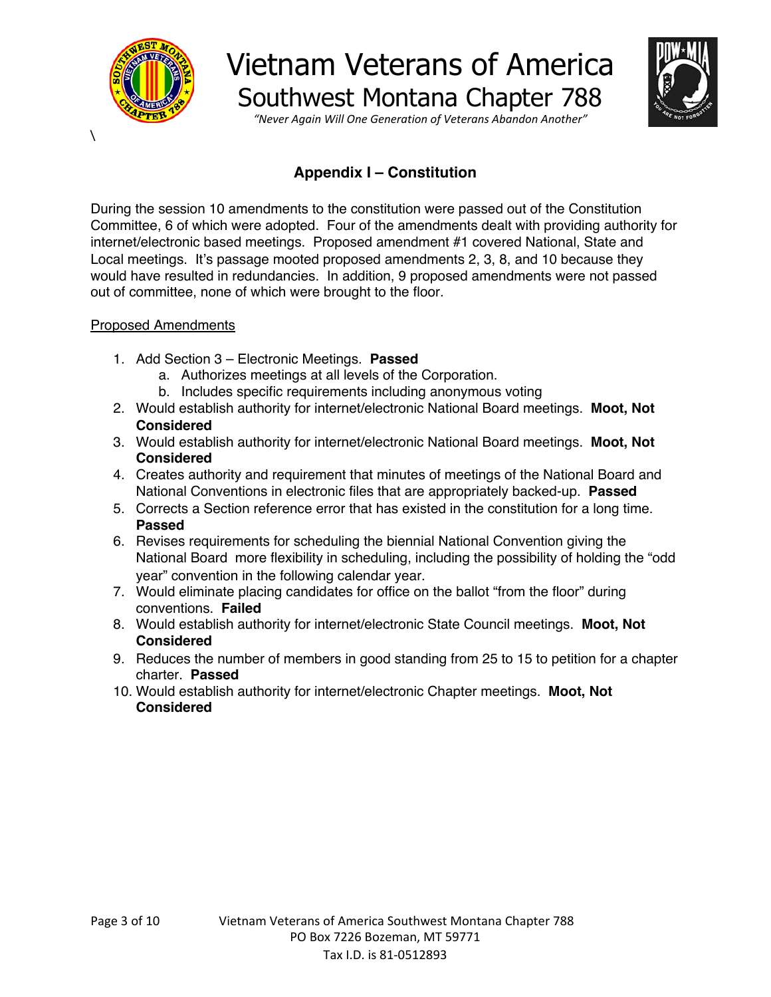

 $\overline{\phantom{0}}$ 

## Vietnam Veterans of America Southwest Montana Chapter 788



*"Never Again Will One Generation of Veterans Abandon Another"*

### **Appendix I – Constitution**

During the session 10 amendments to the constitution were passed out of the Constitution Committee, 6 of which were adopted. Four of the amendments dealt with providing authority for internet/electronic based meetings. Proposed amendment #1 covered National, State and Local meetings. It's passage mooted proposed amendments 2, 3, 8, and 10 because they would have resulted in redundancies. In addition, 9 proposed amendments were not passed out of committee, none of which were brought to the floor.

#### Proposed Amendments

- 1. Add Section 3 Electronic Meetings. **Passed**
	- a. Authorizes meetings at all levels of the Corporation.
	- b. Includes specific requirements including anonymous voting
- 2. Would establish authority for internet/electronic National Board meetings. **Moot, Not Considered**
- 3. Would establish authority for internet/electronic National Board meetings. **Moot, Not Considered**
- 4. Creates authority and requirement that minutes of meetings of the National Board and National Conventions in electronic files that are appropriately backed-up. **Passed**
- 5. Corrects a Section reference error that has existed in the constitution for a long time. **Passed**
- 6. Revises requirements for scheduling the biennial National Convention giving the National Board more flexibility in scheduling, including the possibility of holding the "odd year" convention in the following calendar year.
- 7. Would eliminate placing candidates for office on the ballot "from the floor" during conventions. **Failed**
- 8. Would establish authority for internet/electronic State Council meetings. **Moot, Not Considered**
- 9. Reduces the number of members in good standing from 25 to 15 to petition for a chapter charter. **Passed**
- 10. Would establish authority for internet/electronic Chapter meetings. **Moot, Not Considered**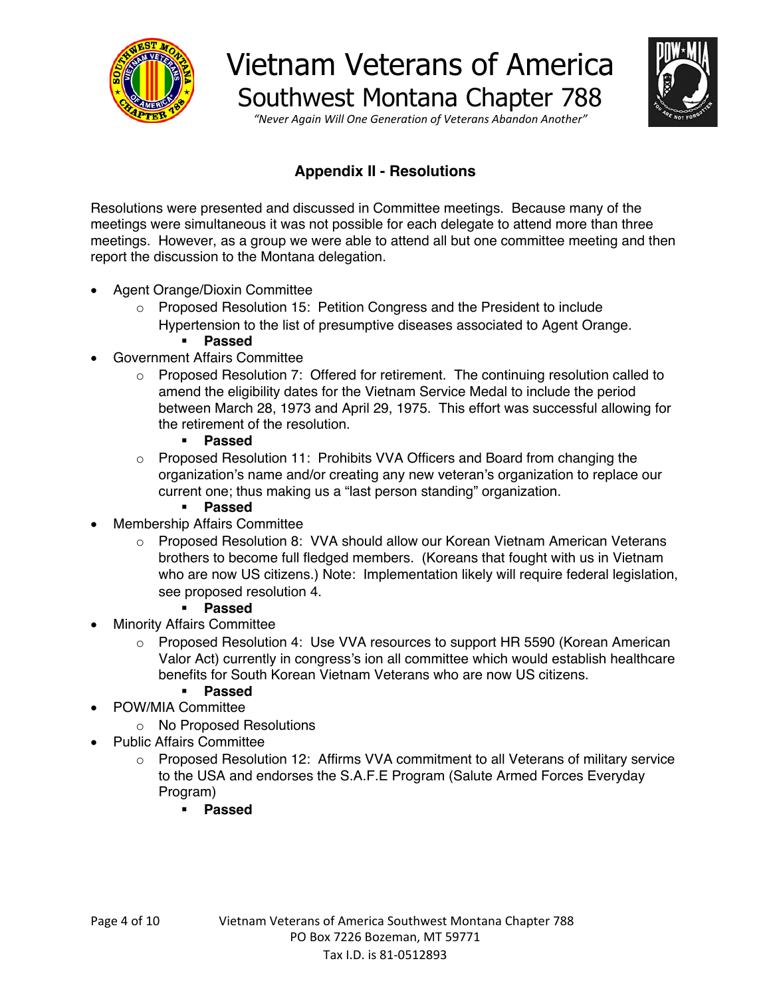



*"Never Again Will One Generation of Veterans Abandon Another"*

### **Appendix II - Resolutions**

Resolutions were presented and discussed in Committee meetings. Because many of the meetings were simultaneous it was not possible for each delegate to attend more than three meetings. However, as a group we were able to attend all but one committee meeting and then report the discussion to the Montana delegation.

- Agent Orange/Dioxin Committee
	- o Proposed Resolution 15: Petition Congress and the President to include Hypertension to the list of presumptive diseases associated to Agent Orange.
		- § **Passed**
- Government Affairs Committee
	- $\circ$  Proposed Resolution 7: Offered for retirement. The continuing resolution called to amend the eligibility dates for the Vietnam Service Medal to include the period between March 28, 1973 and April 29, 1975. This effort was successful allowing for the retirement of the resolution.
		- § **Passed**
	- $\circ$  Proposed Resolution 11: Prohibits VVA Officers and Board from changing the organization's name and/or creating any new veteran's organization to replace our current one; thus making us a "last person standing" organization.
		- § **Passed**
- Membership Affairs Committee
	- o Proposed Resolution 8: VVA should allow our Korean Vietnam American Veterans brothers to become full fledged members. (Koreans that fought with us in Vietnam who are now US citizens.) Note: Implementation likely will require federal legislation, see proposed resolution 4.
		- § **Passed**
- Minority Affairs Committee
	- $\circ$  Proposed Resolution 4: Use VVA resources to support HR 5590 (Korean American Valor Act) currently in congress's ion all committee which would establish healthcare benefits for South Korean Vietnam Veterans who are now US citizens.
		- § **Passed**
- POW/MIA Committee
	- o No Proposed Resolutions
	- Public Affairs Committee
		- o Proposed Resolution 12: Affirms VVA commitment to all Veterans of military service to the USA and endorses the S.A.F.E Program (Salute Armed Forces Everyday Program)
			- § **Passed**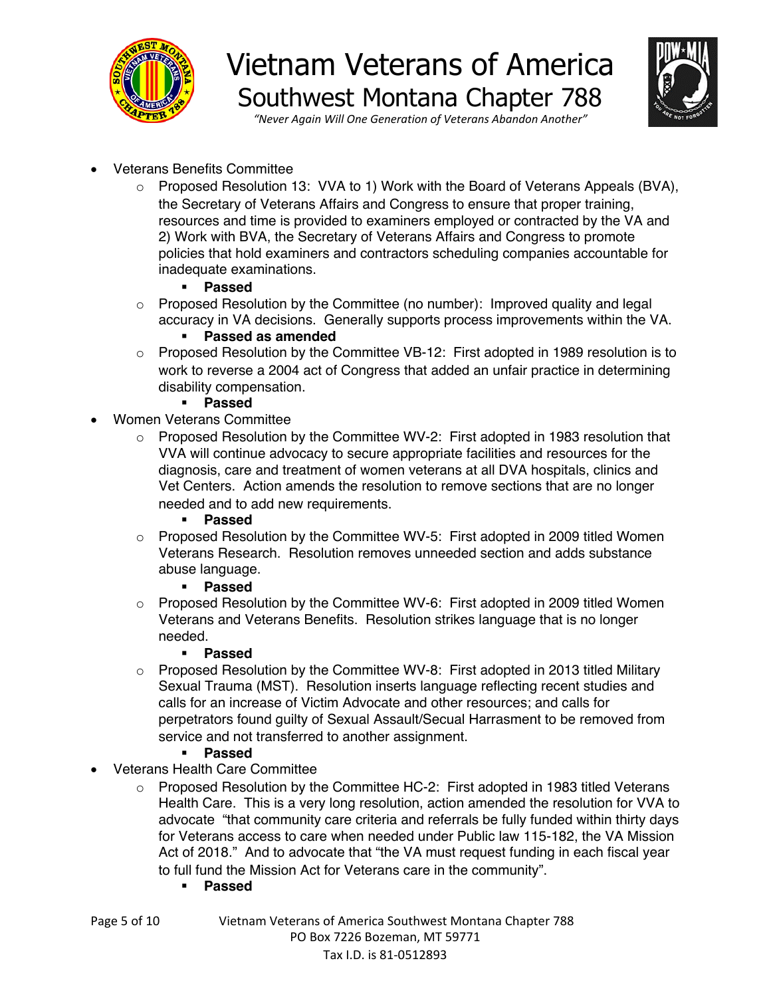



*"Never Again Will One Generation of Veterans Abandon Another"*

- Veterans Benefits Committee
	- o Proposed Resolution 13: VVA to 1) Work with the Board of Veterans Appeals (BVA), the Secretary of Veterans Affairs and Congress to ensure that proper training, resources and time is provided to examiners employed or contracted by the VA and 2) Work with BVA, the Secretary of Veterans Affairs and Congress to promote policies that hold examiners and contractors scheduling companies accountable for inadequate examinations.

#### § **Passed**

 $\circ$  Proposed Resolution by the Committee (no number): Improved quality and legal accuracy in VA decisions. Generally supports process improvements within the VA.

#### § **Passed as amended**

- o Proposed Resolution by the Committee VB-12: First adopted in 1989 resolution is to work to reverse a 2004 act of Congress that added an unfair practice in determining disability compensation.
	- § **Passed**
- Women Veterans Committee
	- $\circ$  Proposed Resolution by the Committee WV-2: First adopted in 1983 resolution that VVA will continue advocacy to secure appropriate facilities and resources for the diagnosis, care and treatment of women veterans at all DVA hospitals, clinics and Vet Centers. Action amends the resolution to remove sections that are no longer needed and to add new requirements.
		- § **Passed**
	- $\circ$  Proposed Resolution by the Committee WV-5: First adopted in 2009 titled Women Veterans Research. Resolution removes unneeded section and adds substance abuse language.

#### § **Passed**

o Proposed Resolution by the Committee WV-6: First adopted in 2009 titled Women Veterans and Veterans Benefits. Resolution strikes language that is no longer needed.

#### § **Passed**

- $\circ$  Proposed Resolution by the Committee WV-8: First adopted in 2013 titled Military Sexual Trauma (MST). Resolution inserts language reflecting recent studies and calls for an increase of Victim Advocate and other resources; and calls for perpetrators found guilty of Sexual Assault/Secual Harrasment to be removed from service and not transferred to another assignment.
	- § **Passed**
- Veterans Health Care Committee
	- Proposed Resolution by the Committee HC-2: First adopted in 1983 titled Veterans Health Care. This is a very long resolution, action amended the resolution for VVA to advocate "that community care criteria and referrals be fully funded within thirty days for Veterans access to care when needed under Public law 115-182, the VA Mission Act of 2018." And to advocate that "the VA must request funding in each fiscal year to full fund the Mission Act for Veterans care in the community".
		- § **Passed**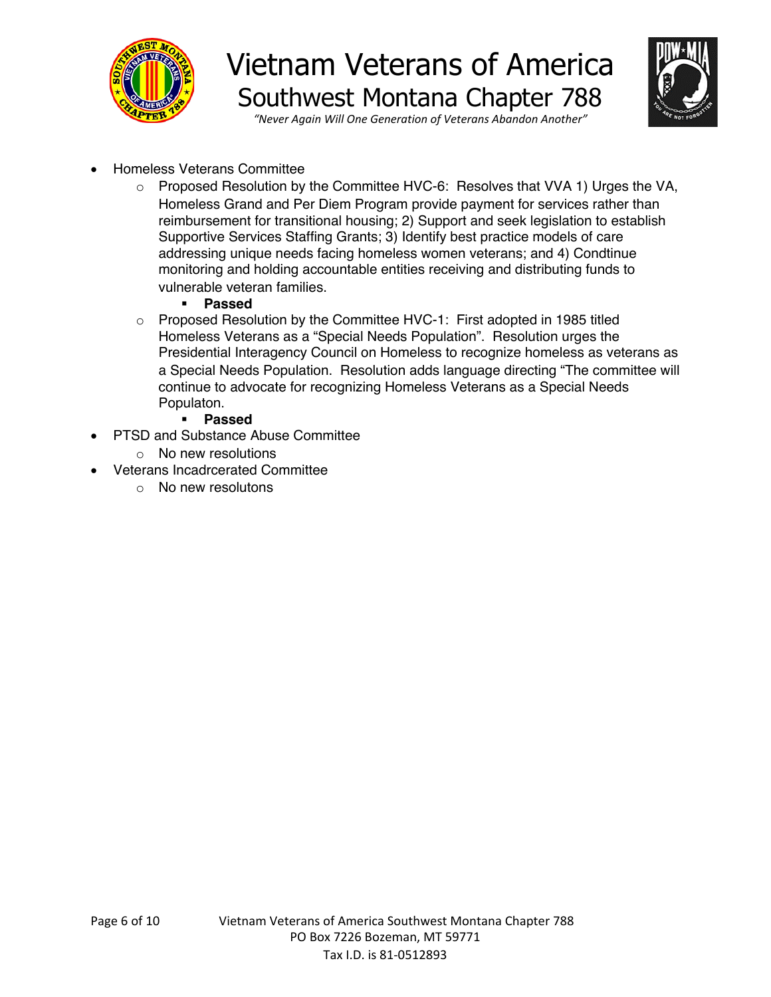



*"Never Again Will One Generation of Veterans Abandon Another"*

- Homeless Veterans Committee
	- o Proposed Resolution by the Committee HVC-6: Resolves that VVA 1) Urges the VA, Homeless Grand and Per Diem Program provide payment for services rather than reimbursement for transitional housing; 2) Support and seek legislation to establish Supportive Services Staffing Grants; 3) Identify best practice models of care addressing unique needs facing homeless women veterans; and 4) Condtinue monitoring and holding accountable entities receiving and distributing funds to vulnerable veteran families.
		- § **Passed**
	- $\circ$  Proposed Resolution by the Committee HVC-1: First adopted in 1985 titled Homeless Veterans as a "Special Needs Population". Resolution urges the Presidential Interagency Council on Homeless to recognize homeless as veterans as a Special Needs Population. Resolution adds language directing "The committee will continue to advocate for recognizing Homeless Veterans as a Special Needs Populaton.
		- § **Passed**
- PTSD and Substance Abuse Committee
	- o No new resolutions
- Veterans Incadrcerated Committee
	- o No new resolutons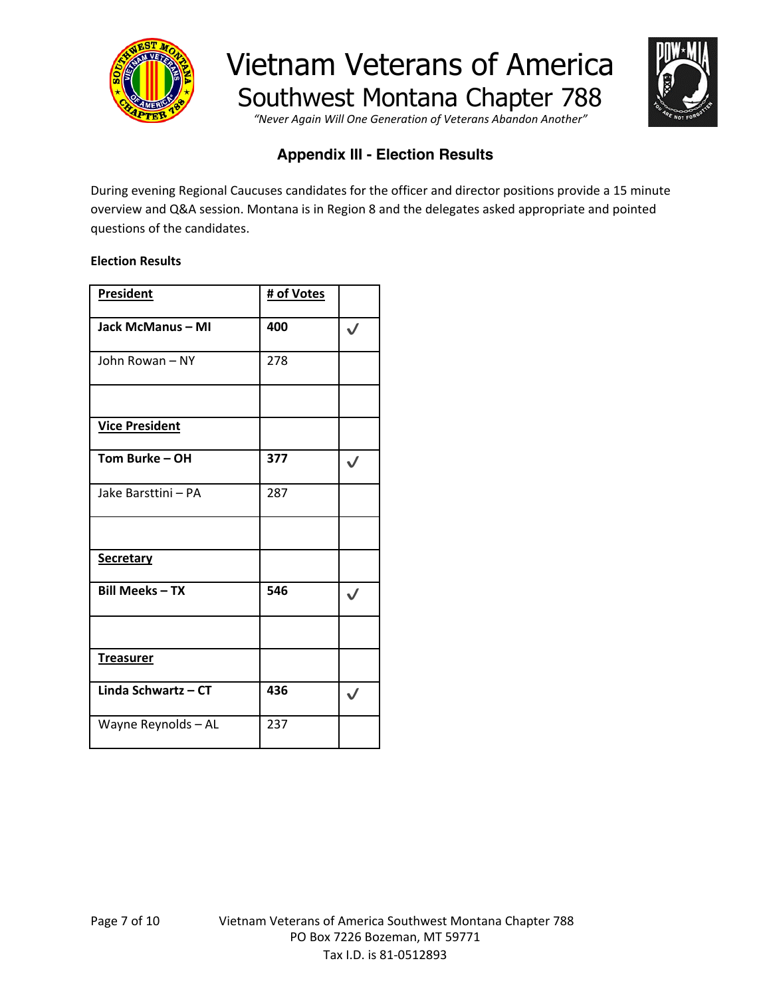

*"Never Again Will One Generation of Veterans Abandon Another"*



### **Appendix III - Election Results**

During evening Regional Caucuses candidates for the officer and director positions provide a 15 minute overview and Q&A session. Montana is in Region 8 and the delegates asked appropriate and pointed questions of the candidates.

#### **Election Results**

| <b>President</b>      | # of Votes |              |
|-----------------------|------------|--------------|
| Jack McManus - MI     | 400        |              |
| John Rowan - NY       | 278        |              |
|                       |            |              |
| <b>Vice President</b> |            |              |
| Tom Burke - OH        | 377        | ✓            |
| Jake Barsttini - PA   | 287        |              |
|                       |            |              |
| <b>Secretary</b>      |            |              |
| <b>Bill Meeks-TX</b>  | 546        | $\checkmark$ |
|                       |            |              |
| <b>Treasurer</b>      |            |              |
| Linda Schwartz - CT   | 436        | $\checkmark$ |
| Wayne Reynolds - AL   | 237        |              |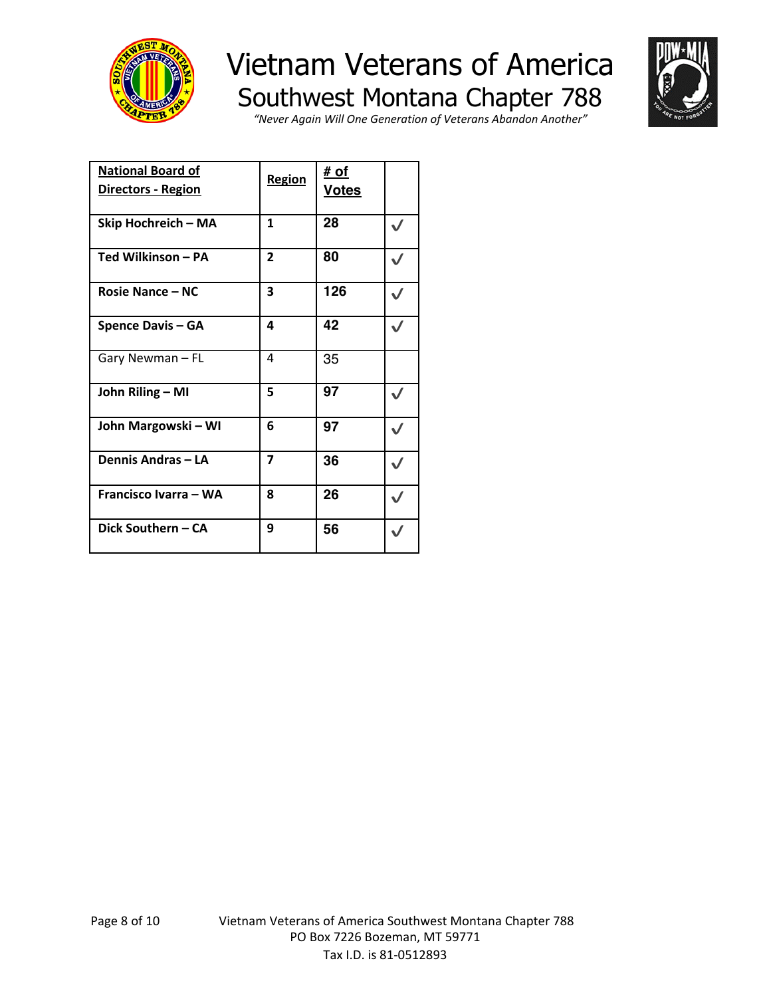



*"Never Again Will One Generation of Veterans Abandon Another"*

| <b>National Board of</b><br><u> Directors - Region</u> | Region                  | <u># of</u><br><u>Votes</u> |  |
|--------------------------------------------------------|-------------------------|-----------------------------|--|
| Skip Hochreich - MA                                    | 1                       | 28                          |  |
| Ted Wilkinson - PA                                     | $\overline{2}$          | 80                          |  |
| <b>Rosie Nance - NC</b>                                | 3                       | 126                         |  |
| <b>Spence Davis - GA</b>                               | 4                       | 42                          |  |
| Gary Newman - FL                                       | 4                       | 35                          |  |
| John Riling - MI                                       | 5                       | 97                          |  |
| John Margowski - WI                                    | 6                       | 97                          |  |
| Dennis Andras - LA                                     | $\overline{\mathbf{z}}$ | 36                          |  |
| Francisco Ivarra - WA                                  | 8                       | 26                          |  |
| Dick Southern - CA                                     | 9                       | 56                          |  |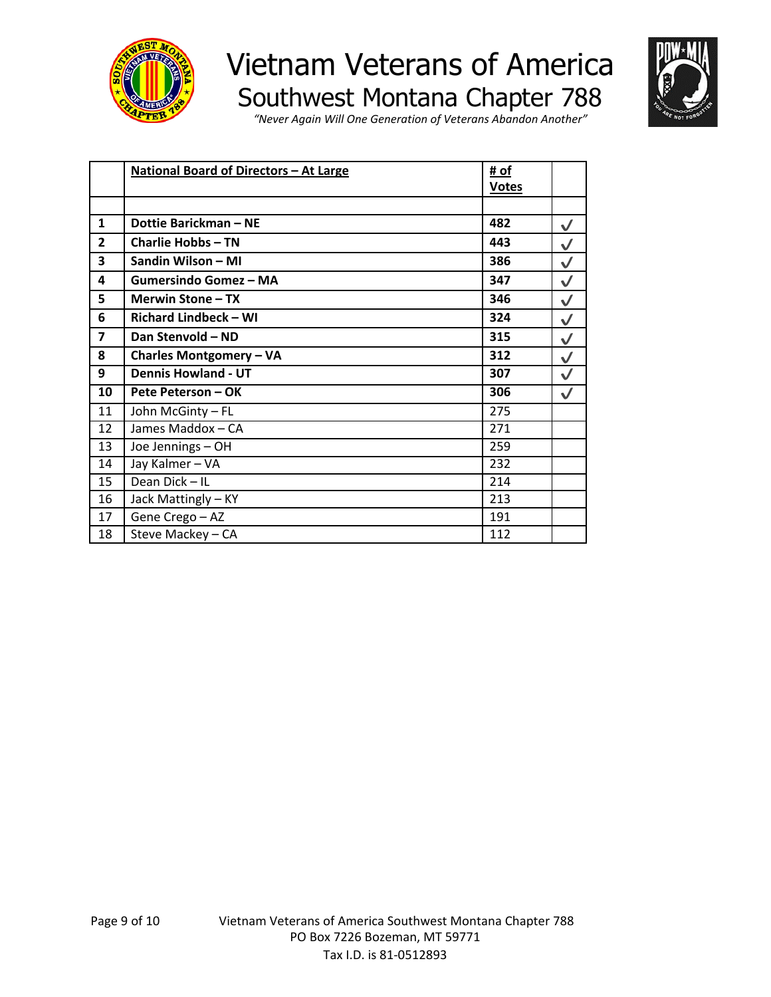



*"Never Again Will One Generation of Veterans Abandon Another"*

|                | <b>National Board of Directors - At Large</b> |              |              |
|----------------|-----------------------------------------------|--------------|--------------|
|                |                                               | <b>Votes</b> |              |
|                |                                               |              |              |
| 1              | Dottie Barickman - NE                         | 482          | $\checkmark$ |
| $\overline{2}$ | <b>Charlie Hobbs-TN</b>                       | 443          | $\checkmark$ |
| 3              | Sandin Wilson - MI                            | 386          | $\checkmark$ |
| 4              | <b>Gumersindo Gomez - MA</b>                  | 347          | $\checkmark$ |
| 5              | Merwin Stone - TX                             | 346          | $\checkmark$ |
| 6              | <b>Richard Lindbeck - WI</b>                  | 324          | $\checkmark$ |
| $\overline{7}$ | Dan Stenvold - ND                             | 315          | $\checkmark$ |
| 8              | <b>Charles Montgomery - VA</b>                | 312          | $\checkmark$ |
| 9              | <b>Dennis Howland - UT</b>                    | 307          | $\checkmark$ |
| 10             | Pete Peterson - OK                            | 306          | $\checkmark$ |
| 11             | John McGinty - FL                             | 275          |              |
| 12             | James Maddox - CA                             | 271          |              |
| 13             | Joe Jennings - OH                             | 259          |              |
| 14             | Jay Kalmer - VA                               | 232          |              |
| 15             | Dean Dick - IL                                | 214          |              |
| 16             | Jack Mattingly - KY                           | 213          |              |
| 17             | Gene Crego - AZ                               | 191          |              |
| 18             | Steve Mackey - CA                             | 112          |              |